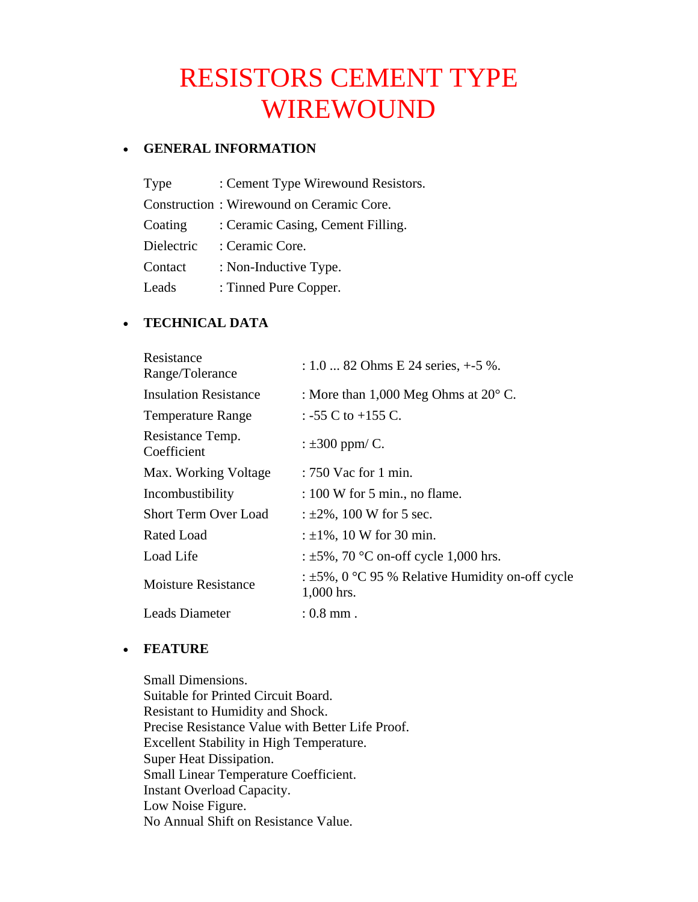# RESISTORS CEMENT TYPE WIREWOUND

## • **GENERAL INFORMATION**

| Type       | : Cement Type Wirewound Resistors.       |
|------------|------------------------------------------|
|            | Construction: Wirewound on Ceramic Core. |
| Coating    | : Ceramic Casing, Cement Filling.        |
| Dielectric | : Ceramic Core.                          |
| Contact    | : Non-Inductive Type.                    |
| Leads      | : Tinned Pure Copper.                    |

# • **TECHNICAL DATA**

| Resistance<br>Range/Tolerance   | $: 1.082$ Ohms E 24 series, $+5$ %.                                  |
|---------------------------------|----------------------------------------------------------------------|
| <b>Insulation Resistance</b>    | : More than $1,000$ Meg Ohms at $20^{\circ}$ C.                      |
| <b>Temperature Range</b>        | : -55 C to +155 C.                                                   |
| Resistance Temp.<br>Coefficient | : $\pm 300$ ppm/ C.                                                  |
| Max. Working Voltage            | : 750 Vac for 1 min.                                                 |
| Incombustibility                | $: 100$ W for 5 min., no flame.                                      |
| <b>Short Term Over Load</b>     | : $\pm 2\%$ , 100 W for 5 sec.                                       |
| Rated Load                      | : $\pm 1\%$ , 10 W for 30 min.                                       |
| Load Life                       | : $\pm 5\%$ , 70 °C on-off cycle 1,000 hrs.                          |
| <b>Moisture Resistance</b>      | : $\pm 5\%$ , 0 °C 95 % Relative Humidity on-off cycle<br>1,000 hrs. |
| Leads Diameter                  | $:0.8$ mm .                                                          |

## • **FEATURE**

Small Dimensions. Suitable for Printed Circuit Board. Resistant to Humidity and Shock. Precise Resistance Value with Better Life Proof. Excellent Stability in High Temperature. Super Heat Dissipation. Small Linear Temperature Coefficient. Instant Overload Capacity. Low Noise Figure. No Annual Shift on Resistance Value.